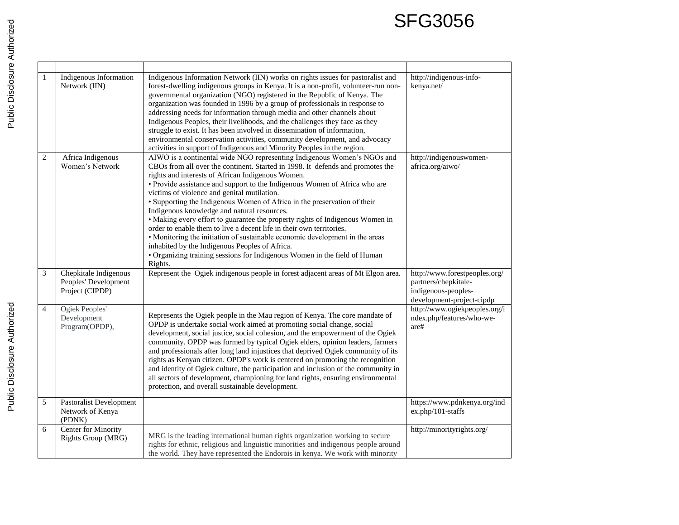## SFG3056

| $\mathbf{1}$   | Indigenous Information<br>Network (IIN)                          | Indigenous Information Network (IIN) works on rights issues for pastoralist and<br>forest-dwelling indigenous groups in Kenya. It is a non-profit, volunteer-run non-<br>governmental organization (NGO) registered in the Republic of Kenya. The<br>organization was founded in 1996 by a group of professionals in response to<br>addressing needs for information through media and other channels about<br>Indigenous Peoples, their livelihoods, and the challenges they face as they<br>struggle to exist. It has been involved in dissemination of information,<br>environmental conservation activities, community development, and advocacy<br>activities in support of Indigenous and Minority Peoples in the region.                                                                                                                           | http://indigenous-info-<br>kenya.net/                                                                     |
|----------------|------------------------------------------------------------------|-----------------------------------------------------------------------------------------------------------------------------------------------------------------------------------------------------------------------------------------------------------------------------------------------------------------------------------------------------------------------------------------------------------------------------------------------------------------------------------------------------------------------------------------------------------------------------------------------------------------------------------------------------------------------------------------------------------------------------------------------------------------------------------------------------------------------------------------------------------|-----------------------------------------------------------------------------------------------------------|
| $\overline{2}$ | Africa Indigenous<br>Women's Network                             | AIWO is a continental wide NGO representing Indigenous Women's NGOs and<br>CBOs from all over the continent. Started in 1998. It defends and promotes the<br>rights and interests of African Indigenous Women.<br>• Provide assistance and support to the Indigenous Women of Africa who are<br>victims of violence and genital mutilation.<br>· Supporting the Indigenous Women of Africa in the preservation of their<br>Indigenous knowledge and natural resources.<br>• Making every effort to guarantee the property rights of Indigenous Women in<br>order to enable them to live a decent life in their own territories.<br>• Monitoring the initiation of sustainable economic development in the areas<br>inhabited by the Indigenous Peoples of Africa.<br>· Organizing training sessions for Indigenous Women in the field of Human<br>Rights. | http://indigenouswomen-<br>africa.org/aiwo/                                                               |
| $\mathfrak{Z}$ | Chepkitale Indigenous<br>Peoples' Development<br>Project (CIPDP) | Represent the Ogiek indigenous people in forest adjacent areas of Mt Elgon area.                                                                                                                                                                                                                                                                                                                                                                                                                                                                                                                                                                                                                                                                                                                                                                          | http://www.forestpeoples.org/<br>partners/chepkitale-<br>indigenous-peoples-<br>development-project-cipdp |
| $\overline{4}$ | Ogiek Peoples'<br>Development<br>Program(OPDP),                  | Represents the Ogiek people in the Mau region of Kenya. The core mandate of<br>OPDP is undertake social work aimed at promoting social change, social<br>development, social justice, social cohesion, and the empowerment of the Ogiek<br>community. OPDP was formed by typical Ogiek elders, opinion leaders, farmers<br>and professionals after long land injustices that deprived Ogiek community of its<br>rights as Kenyan citizen. OPDP's work is centered on promoting the recognition<br>and identity of Ogiek culture, the participation and inclusion of the community in<br>all sectors of development, championing for land rights, ensuring environmental<br>protection, and overall sustainable development.                                                                                                                               | http://www.ogiekpeoples.org/i<br>ndex.php/features/who-we-<br>are#                                        |
| $\overline{5}$ | Pastoralist Development<br>Network of Kenya<br>(PDNK)            |                                                                                                                                                                                                                                                                                                                                                                                                                                                                                                                                                                                                                                                                                                                                                                                                                                                           | https://www.pdnkenya.org/ind<br>ex.php/101-staffs                                                         |
| 6              | Center for Minority<br>Rights Group (MRG)                        | MRG is the leading international human rights organization working to secure<br>rights for ethnic, religious and linguistic minorities and indigenous people around<br>the world. They have represented the Endorois in kenya. We work with minority                                                                                                                                                                                                                                                                                                                                                                                                                                                                                                                                                                                                      | http://minorityrights.org/                                                                                |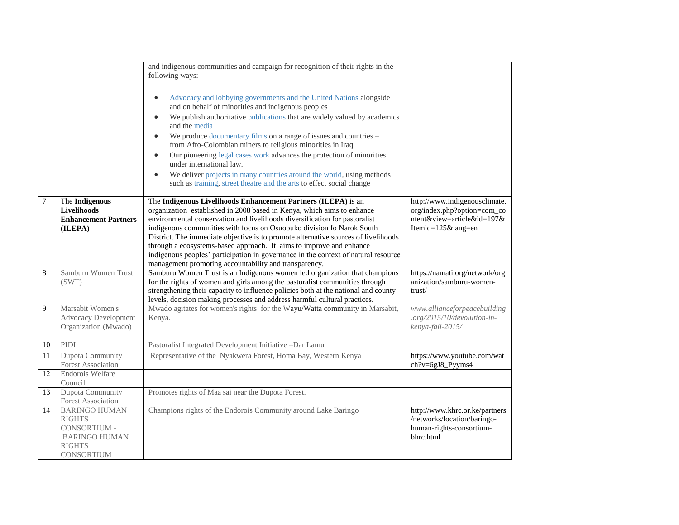|    |                                                                                                                     | and indigenous communities and campaign for recognition of their rights in the<br>following ways:<br>Advocacy and lobbying governments and the United Nations alongside<br>$\bullet$<br>and on behalf of minorities and indigenous peoples<br>We publish authoritative publications that are widely valued by academics<br>$\bullet$<br>and the media<br>We produce documentary films on a range of issues and countries -<br>from Afro-Colombian miners to religious minorities in Iraq<br>Our pioneering legal cases work advances the protection of minorities<br>$\bullet$<br>under international law.<br>We deliver projects in many countries around the world, using methods<br>such as training, street theatre and the arts to effect social change |                                                                                                              |
|----|---------------------------------------------------------------------------------------------------------------------|--------------------------------------------------------------------------------------------------------------------------------------------------------------------------------------------------------------------------------------------------------------------------------------------------------------------------------------------------------------------------------------------------------------------------------------------------------------------------------------------------------------------------------------------------------------------------------------------------------------------------------------------------------------------------------------------------------------------------------------------------------------|--------------------------------------------------------------------------------------------------------------|
| 7  | The Indigenous<br>Livelihoods<br><b>Enhancement Partners</b><br>(ILEPA)                                             | The Indigenous Livelihoods Enhancement Partners (ILEPA) is an<br>organization established in 2008 based in Kenya, which aims to enhance<br>environmental conservation and livelihoods diversification for pastoralist<br>indigenous communities with focus on Osuopuko division fo Narok South<br>District. The immediate objective is to promote alternative sources of livelihoods<br>through a ecosystems-based approach. It aims to improve and enhance<br>indigenous peoples' participation in governance in the context of natural resource<br>management promoting accountability and transparency.                                                                                                                                                   | http://www.indigenousclimate.<br>org/index.php?option=com_co<br>ntent&view=article&id=197&<br>Itemid=125⟨=en |
| 8  | Samburu Women Trust<br>(SWT)                                                                                        | Samburu Women Trust is an Indigenous women led organization that champions<br>for the rights of women and girls among the pastoralist communities through<br>strengthening their capacity to influence policies both at the national and county<br>levels, decision making processes and address harmful cultural practices.                                                                                                                                                                                                                                                                                                                                                                                                                                 | https://namati.org/network/org<br>anization/samburu-women-<br>trust/                                         |
| 9  | Marsabit Women's<br><b>Advocacy Development</b><br>Organization (Mwado)                                             | Mwado agitates for women's rights for the Wayu/Watta community in Marsabit,<br>Kenya.                                                                                                                                                                                                                                                                                                                                                                                                                                                                                                                                                                                                                                                                        | www.allianceforpeacebuilding<br>.org/2015/10/devolution-in-<br>kenya-fall-2015/                              |
| 10 | PIDI                                                                                                                | Pastoralist Integrated Development Initiative -Dar Lamu                                                                                                                                                                                                                                                                                                                                                                                                                                                                                                                                                                                                                                                                                                      |                                                                                                              |
| 11 | Dupota Community<br><b>Forest Association</b>                                                                       | Representative of the Nyakwera Forest, Homa Bay, Western Kenya                                                                                                                                                                                                                                                                                                                                                                                                                                                                                                                                                                                                                                                                                               | https://www.youtube.com/wat<br>$ch?v=6gJ8$ _Pyyms4                                                           |
| 12 | Endorois Welfare<br>Council                                                                                         |                                                                                                                                                                                                                                                                                                                                                                                                                                                                                                                                                                                                                                                                                                                                                              |                                                                                                              |
| 13 | <b>Dupota Community</b><br><b>Forest Association</b>                                                                | Promotes rights of Maa sai near the Dupota Forest.                                                                                                                                                                                                                                                                                                                                                                                                                                                                                                                                                                                                                                                                                                           |                                                                                                              |
| 14 | <b>BARINGO HUMAN</b><br><b>RIGHTS</b><br>CONSORTIUM -<br><b>BARINGO HUMAN</b><br><b>RIGHTS</b><br><b>CONSORTIUM</b> | Champions rights of the Endorois Community around Lake Baringo                                                                                                                                                                                                                                                                                                                                                                                                                                                                                                                                                                                                                                                                                               | http://www.khrc.or.ke/partners<br>/networks/location/baringo-<br>human-rights-consortium-<br>bhrc.html       |